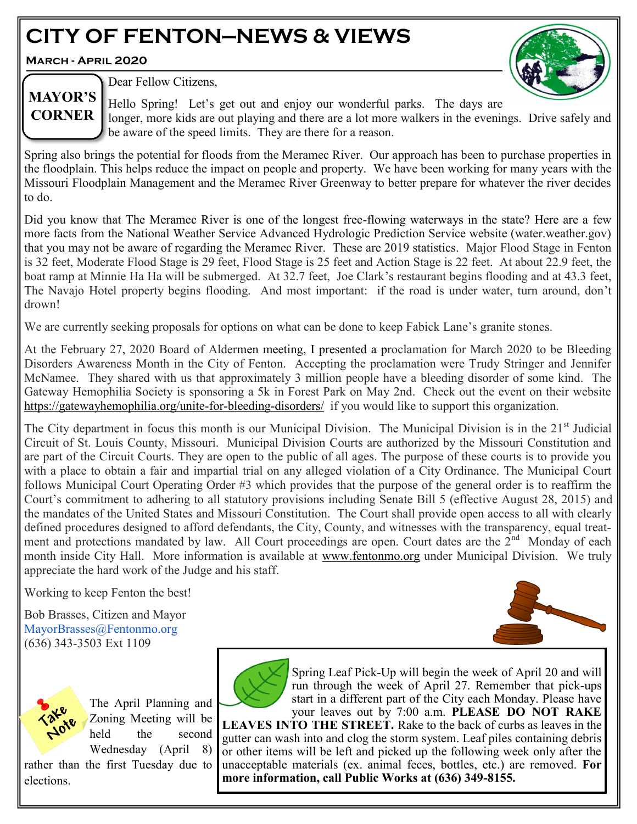# **CITY OF FENTON—NEWS & VIEWS**

**March - April 2020**



## **MAYOR'S CORNER**

Dear Fellow Citizens,

Hello Spring! Let's get out and enjoy our wonderful parks. The days are longer, more kids are out playing and there are a lot more walkers in the evenings. Drive safely and be aware of the speed limits. They are there for a reason.

Spring also brings the potential for floods from the Meramec River. Our approach has been to purchase properties in the floodplain. This helps reduce the impact on people and property. We have been working for many years with the Missouri Floodplain Management and the Meramec River Greenway to better prepare for whatever the river decides to do.

Did you know that The Meramec River is one of the longest free-flowing waterways in the state? Here are a few more facts from the National Weather Service Advanced Hydrologic Prediction Service website (water.weather.gov) that you may not be aware of regarding the Meramec River. These are 2019 statistics. Major Flood Stage in Fenton is 32 feet, Moderate Flood Stage is 29 feet, Flood Stage is 25 feet and Action Stage is 22 feet. At about 22.9 feet, the boat ramp at Minnie Ha Ha will be submerged. At 32.7 feet, Joe Clark's restaurant begins flooding and at 43.3 feet, The Navajo Hotel property begins flooding. And most important: if the road is under water, turn around, don't drown!

We are currently seeking proposals for options on what can be done to keep Fabick Lane's granite stones.

At the February 27, 2020 Board of Aldermen meeting, I presented a proclamation for March 2020 to be Bleeding Disorders Awareness Month in the City of Fenton. Accepting the proclamation were Trudy Stringer and Jennifer McNamee. They shared with us that approximately 3 million people have a bleeding disorder of some kind. The Gateway Hemophilia Society is sponsoring a 5k in Forest Park on May 2nd. Check out the event on their website [https://gatewayhemophilia.org/unite](https://gatewayhemophilia.org/unite-for-bleeding-disorders/)-for-bleeding-disorders/ if you would like to support this organization.

The City department in focus this month is our Municipal Division. The Municipal Division is in the 21<sup>st</sup> Judicial Circuit of St. Louis County, Missouri. Municipal Division Courts are authorized by the Missouri Constitution and are part of the Circuit Courts. They are open to the public of all ages. The purpose of these courts is to provide you with a place to obtain a fair and impartial trial on any alleged violation of a City Ordinance. The Municipal Court follows Municipal Court Operating Order #3 which provides that the purpose of the general order is to reaffirm the Court's commitment to adhering to all statutory provisions including Senate Bill 5 (effective August 28, 2015) and the mandates of the United States and Missouri Constitution. The Court shall provide open access to all with clearly defined procedures designed to afford defendants, the City, County, and witnesses with the transparency, equal treatment and protections mandated by law. All Court proceedings are open. Court dates are the 2<sup>nd</sup> Monday of each month inside City Hall. More information is available at [www.fentonmo.org](http://www.fentonmo.org) under Municipal Division. We truly appreciate the hard work of the Judge and his staff.

Working to keep Fenton the best!

Bob Brasses, Citizen and Mayor MayorBrasses@Fentonmo.org (636) 343-3503 Ext 1109





The April Planning and Zoning Meeting will be held the second Wednesday (April 8)

rather than the first Tuesday due to elections.



run through the week of April 27. Remember that pick-ups start in a different part of the City each Monday. Please have your leaves out by 7:00 a.m. **PLEASE DO NOT RAKE LEAVES INTO THE STREET.** Rake to the back of curbs as leaves in the gutter can wash into and clog the storm system. Leaf piles containing debris or other items will be left and picked up the following week only after the unacceptable materials (ex. animal feces, bottles, etc.) are removed. **For more information, call Public Works at (636) 349-8155.**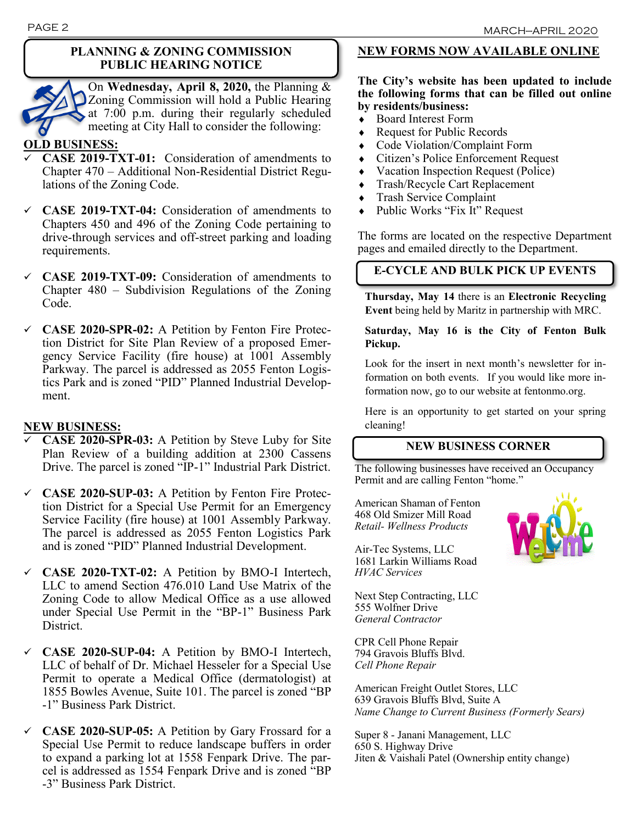#### **PLANNING & ZONING COMMISSION PUBLIC HEARING NOTICE**

On **Wednesday, April 8, 2020,** the Planning & Zoning Commission will hold a Public Hearing at 7:00 p.m. during their regularly scheduled meeting at City Hall to consider the following:

### **OLD BUSINESS:**

- ✓ **CASE 2019-TXT-01:** Consideration of amendments to Chapter 470 – Additional Non-Residential District Regulations of the Zoning Code.
- ✓ **CASE 2019-TXT-04:** Consideration of amendments to Chapters 450 and 496 of the Zoning Code pertaining to drive-through services and off-street parking and loading requirements.
- ✓ **CASE 2019-TXT-09:** Consideration of amendments to Chapter 480 – Subdivision Regulations of the Zoning Code.
- ✓ **CASE 2020-SPR-02:** A Petition by Fenton Fire Protection District for Site Plan Review of a proposed Emergency Service Facility (fire house) at 1001 Assembly Parkway. The parcel is addressed as 2055 Fenton Logistics Park and is zoned "PID" Planned Industrial Development.

#### **NEW BUSINESS:**

- ✓ **CASE 2020-SPR-03:** A Petition by Steve Luby for Site Plan Review of a building addition at 2300 Cassens Drive. The parcel is zoned "IP-1" Industrial Park District.
- ✓ **CASE 2020-SUP-03:** A Petition by Fenton Fire Protection District for a Special Use Permit for an Emergency Service Facility (fire house) at 1001 Assembly Parkway. The parcel is addressed as 2055 Fenton Logistics Park and is zoned "PID" Planned Industrial Development.
- ✓ **CASE 2020-TXT-02:** A Petition by BMO-I Intertech, LLC to amend Section 476.010 Land Use Matrix of the Zoning Code to allow Medical Office as a use allowed under Special Use Permit in the "BP-1" Business Park District.
- ✓ **CASE 2020-SUP-04:** A Petition by BMO-I Intertech, LLC of behalf of Dr. Michael Hesseler for a Special Use Permit to operate a Medical Office (dermatologist) at 1855 Bowles Avenue, Suite 101. The parcel is zoned "BP -1" Business Park District.
- ✓ **CASE 2020-SUP-05:** A Petition by Gary Frossard for a Special Use Permit to reduce landscape buffers in order to expand a parking lot at 1558 Fenpark Drive. The parcel is addressed as 1554 Fenpark Drive and is zoned "BP -3" Business Park District.

## **NEW FORMS NOW AVAILABLE ONLINE**

### **The City's website has been updated to include the following forms that can be filled out online by residents/business:**

- Board Interest Form
- Request for Public Records
- Code Violation/Complaint Form
- Citizen's Police Enforcement Request
- Vacation Inspection Request (Police)
- Trash/Recycle Cart Replacement
- Trash Service Complaint
- Public Works "Fix It" Request

The forms are located on the respective Department pages and emailed directly to the Department.

## **E-CYCLE AND BULK PICK UP EVENTS**

**Thursday, May 14** there is an **Electronic Recycling Event** being held by Maritz in partnership with MRC.

#### **Saturday, May 16 is the City of Fenton Bulk Pickup.**

Look for the insert in next month's newsletter for information on both events.If you would like more information now, go to our website at fentonmo.org.

Here is an opportunity to get started on your spring cleaning!

## **NEW BUSINESS CORNER**

The following businesses have received an Occupancy Permit and are calling Fenton "home."

American Shaman of Fenton 468 Old Smizer Mill Road *Retail- Wellness Products*

Air-Tec Systems, LLC 1681 Larkin Williams Road *HVAC Services*

Next Step Contracting, LLC 555 Wolfner Drive *General Contractor*

CPR Cell Phone Repair 794 Gravois Bluffs Blvd. *Cell Phone Repair*

American Freight Outlet Stores, LLC 639 Gravois Bluffs Blvd, Suite A *Name Change to Current Business (Formerly Sears)*

Super 8 - Janani Management, LLC 650 S. Highway Drive Jiten & Vaishali Patel (Ownership entity change)

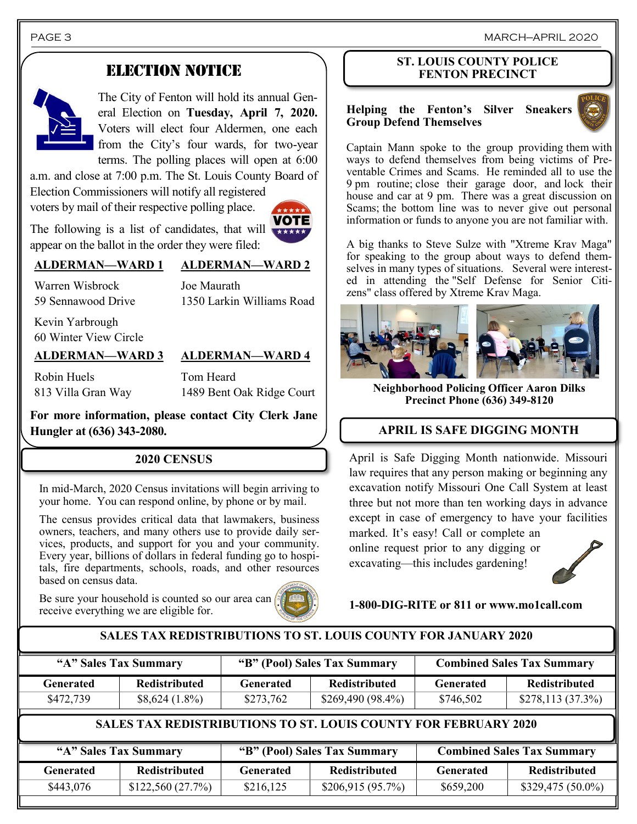PAGE 3 MARCH—APRIL 2020

## ELECTION NOTICE



The City of Fenton will hold its annual General Election on **Tuesday, April 7, 2020.**  Voters will elect four Aldermen, one each from the City's four wards, for two-year terms. The polling places will open at 6:00

a.m. and close at 7:00 p.m. The St. Louis County Board of Election Commissioners will notify all registered voters by mail of their respective polling place.

**VOTE** 

The following is a list of candidates, that will appear on the ballot in the order they were filed:

### **ALDERMAN—WARD 1 ALDERMAN—WARD 2**

Joe Maurath 1350 Larkin Williams Road

Kevin Yarbrough 60 Winter View Circle

Warren Wisbrock 59 Sennawood Drive

#### **ALDERMAN—WARD 3 ALDERMAN—WARD 4**

Robin Huels 813 Villa Gran Way

Tom Heard 1489 Bent Oak Ridge Court

**For more information, please contact City Clerk Jane Hungler at (636) 343-2080.**

#### **2020 CENSUS**

In mid-March, 2020 Census invitations will begin arriving to your home. You can respond online, by phone or by mail.

The census provides critical data that lawmakers, business owners, teachers, and many others use to provide daily services, products, and support for you and your community. Every year, billions of dollars in federal funding go to hospitals, fire departments, schools, roads, and other resources based on census data.

Be sure your household is counted so our area can receive everything we are eligible for.



#### **ST. LOUIS COUNTY POLICE FENTON PRECINCT**

#### **Helping the Fenton's Silver Sneakers Group Defend Themselves**



Captain Mann spoke to the group providing them with ways to defend themselves from being victims of Preventable Crimes and Scams. He reminded all to use the 9 pm routine; close their garage door, and lock their house and car at 9 pm. There was a great discussion on Scams; the bottom line was to never give out personal information or funds to anyone you are not familiar with.

A big thanks to Steve Sulze with "Xtreme Krav Maga" for speaking to the group about ways to defend themselves in many types of situations. Several were interested in attending the "Self Defense for Senior Citizens" class offered by Xtreme Krav Maga.



**Neighborhood Policing Officer Aaron Dilks Precinct Phone (636) 349-8120**

## **APRIL IS SAFE DIGGING MONTH**

April is Safe Digging Month nationwide. Missouri law requires that any person making or beginning any excavation notify Missouri One Call System at least three but not more than ten working days in advance except in case of emergency to have your facilities marked. It's easy! Call or complete an online request prior to any digging or

excavating—this includes gardening!

**1-800-DIG-RITE or 811 or www.mo1call.com**

#### **SALES TAX REDISTRIBUTIONS TO ST. LOUIS COUNTY FOR JANUARY 2020**

| "A" Sales Tax Summary                                                  |                      | "B" (Pool) Sales Tax Summary |                      | <b>Combined Sales Tax Summary</b> |                      |  |  |
|------------------------------------------------------------------------|----------------------|------------------------------|----------------------|-----------------------------------|----------------------|--|--|
| <b>Generated</b>                                                       | <b>Redistributed</b> | <b>Generated</b>             | <b>Redistributed</b> | <b>Generated</b>                  | <b>Redistributed</b> |  |  |
| \$472,739                                                              | $$8,624(1.8\%)$      | \$273,762                    | \$269,490 (98.4%)    | \$746,502                         | $$278,113(37.3\%)$   |  |  |
| <b>SALES TAX REDISTRIBUTIONS TO ST. LOUIS COUNTY FOR FEBRUARY 2020</b> |                      |                              |                      |                                   |                      |  |  |
| "A" Sales Tax Summary                                                  |                      | "B" (Pool) Sales Tax Summary |                      | <b>Combined Sales Tax Summary</b> |                      |  |  |
| <b>Generated</b>                                                       | Redistributed        | <b>Generated</b>             | Redistributed        | <b>Generated</b>                  | <b>Redistributed</b> |  |  |

 $\frac{$443,076}{9543000}$  \$122,560 (27.7%) \$216,125 \$206,915 (95.7%) \$659,200 \$329,475 (50.0%)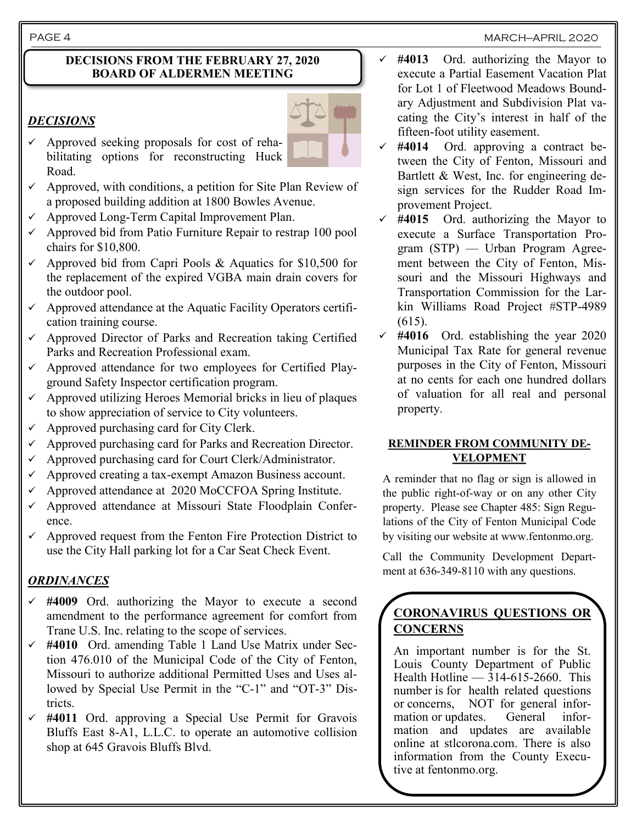PAGE 4 MARCH-APRIL 2020

#### **DECISIONS FROM THE FEBRUARY 27, 2020 BOARD OF ALDERMEN MEETING**

## *DECISIONS*

- $\checkmark$  Approved seeking proposals for cost of rehabilitating options for reconstructing Huck Road.
- Approved, with conditions, a petition for Site Plan Review of a proposed building addition at 1800 Bowles Avenue.
- ✓ Approved Long-Term Capital Improvement Plan.
- $\checkmark$  Approved bid from Patio Furniture Repair to restrap 100 pool chairs for \$10,800.
- $\checkmark$  Approved bid from Capri Pools & Aquatics for \$10,500 for the replacement of the expired VGBA main drain covers for the outdoor pool.
- $\checkmark$  Approved attendance at the Aquatic Facility Operators certification training course.
- ✓ Approved Director of Parks and Recreation taking Certified Parks and Recreation Professional exam.
- $\checkmark$  Approved attendance for two employees for Certified Playground Safety Inspector certification program.
- $\checkmark$  Approved utilizing Heroes Memorial bricks in lieu of plaques to show appreciation of service to City volunteers.
- Approved purchasing card for City Clerk.
- $\checkmark$  Approved purchasing card for Parks and Recreation Director.
- ✓ Approved purchasing card for Court Clerk/Administrator.
- ✓ Approved creating a tax-exempt Amazon Business account.
- $\checkmark$  Approved attendance at 2020 MoCCFOA Spring Institute.
- ✓ Approved attendance at Missouri State Floodplain Conference.
- $\checkmark$  Approved request from the Fenton Fire Protection District to use the City Hall parking lot for a Car Seat Check Event.

## *ORDINANCES*

- ✓ **#4009** Ord. authorizing the Mayor to execute a second amendment to the performance agreement for comfort from Trane U.S. Inc. relating to the scope of services.
- ✓ **#4010** Ord. amending Table 1 Land Use Matrix under Section 476.010 of the Municipal Code of the City of Fenton, Missouri to authorize additional Permitted Uses and Uses allowed by Special Use Permit in the "C-1" and "OT-3" Districts.
- ✓ **#4011** Ord. approving a Special Use Permit for Gravois Bluffs East 8-A1, L.L.C. to operate an automotive collision shop at 645 Gravois Bluffs Blvd.
- ✓ **#4013** Ord. authorizing the Mayor to execute a Partial Easement Vacation Plat for Lot 1 of Fleetwood Meadows Boundary Adjustment and Subdivision Plat vacating the City's interest in half of the fifteen-foot utility easement.
- ✓ **#4014** Ord. approving a contract between the City of Fenton, Missouri and Bartlett & West, Inc. for engineering design services for the Rudder Road Improvement Project.
- ✓ **#4015** Ord. authorizing the Mayor to execute a Surface Transportation Program (STP) — Urban Program Agreement between the City of Fenton, Missouri and the Missouri Highways and Transportation Commission for the Larkin Williams Road Project #STP-4989 (615).
- ✓ **#4016** Ord. establishing the year 2020 Municipal Tax Rate for general revenue purposes in the City of Fenton, Missouri at no cents for each one hundred dollars of valuation for all real and personal property.

#### **REMINDER FROM COMMUNITY DE-VELOPMENT**

A reminder that no flag or sign is allowed in the public right-of-way or on any other City property. Please see Chapter 485: Sign Regulations of the City of Fenton Municipal Code by visiting our website at www.fentonmo.org.

Call the Community Development Department at 636-349-8110 with any questions.

## **CORONAVIRUS QUESTIONS OR CONCERNS**

An important number is for the St. Louis County Department of Public Health Hotline  $-314-615-2660$ . This number is for health related questions or concerns, NOT for general information or updates. General information and updates are available online at stlcorona.com. There is also information from the County Executive at fentonmo.org.

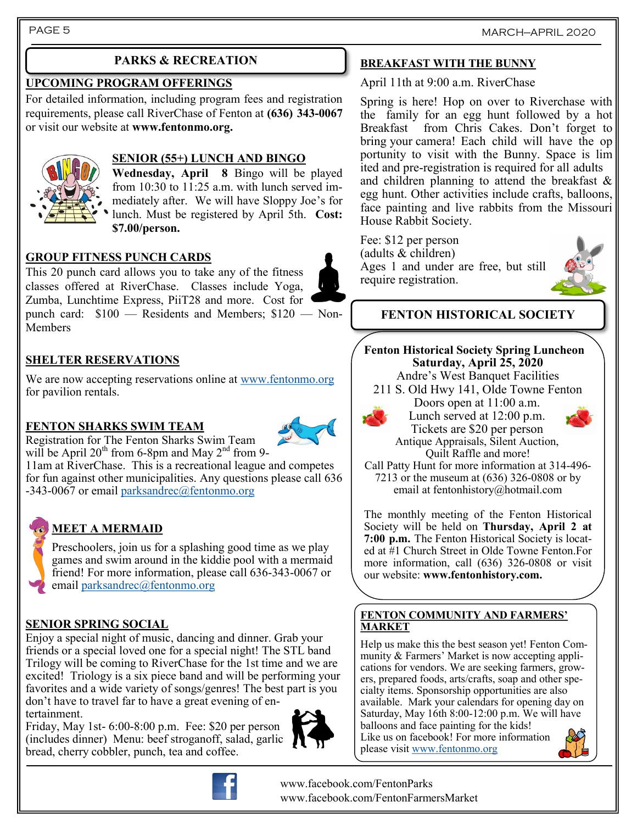## **PARKS & RECREATION**

### **UPCOMING PROGRAM OFFERINGS**

For detailed information, including program fees and registration requirements, please call RiverChase of Fenton at **(636) 343-0067**  or visit our website at **www.fentonmo.org.**



### **SENIOR (55+) LUNCH AND BINGO**

**Wednesday, April 8** Bingo will be played from 10:30 to 11:25 a.m. with lunch served immediately after. We will have Sloppy Joe's for lunch. Must be registered by April 5th. **Cost: \$7.00/person.**

## **GROUP FITNESS PUNCH CARDS**

This 20 punch card allows you to take any of the fitness classes offered at RiverChase. Classes include Yoga, Zumba, Lunchtime Express, PiiT28 and more. Cost for punch card: \$100 — Residents and Members; \$120 — Non-Members

## **SHELTER RESERVATIONS**

We are now accepting reservations online at [www.fentonmo.org](http://www.fentonmo.org) for pavilion rentals.

## **FENTON SHARKS SWIM TEAM**



Registration for The Fenton Sharks Swim Team will be April  $20^{th}$  from 6-8pm and May  $2^{nd}$  from 9-

11am at RiverChase. This is a recreational league and competes for fun against other municipalities. Any questions please call 636 -343-0067 or email parksandrec $@$ fentonmo.org

## **MEET A MERMAID**

Preschoolers, join us for a splashing good time as we play games and swim around in the kiddie pool with a mermaid friend! For more information, please call 636-343-0067 or email [parksandrec@fentonmo.org](mailto:parksandrec@fentonmo.org)

## **SENIOR SPRING SOCIAL**

Enjoy a special night of music, dancing and dinner. Grab your friends or a special loved one for a special night! The STL band Trilogy will be coming to RiverChase for the 1st time and we are excited! Triology is a six piece band and will be performing your favorites and a wide variety of songs/genres! The best part is you don't have to travel far to have a great evening of entertainment.

Friday, May 1st- 6:00-8:00 p.m. Fee: \$20 per person (includes dinner) Menu: beef stroganoff, salad, garlic bread, cherry cobbler, punch, tea and coffee.



**FENTON HISTORICAL SOCIETY**

Ages 1 and under are free, but still

House Rabbit Society.

Fee: \$12 per person (adults & children)

require registration.

**BREAKFAST WITH THE BUNNY** April 11th at 9:00 a.m. RiverChase

Spring is here! Hop on over to Riverchase with the family for an egg hunt followed by a hot Breakfast from Chris Cakes. Don't forget to bring your camera! Each child will have the op portunity to visit with the Bunny. Space is lim ited and pre-registration is required for all adults and children planning to attend the breakfast & egg hunt. Other activities include crafts, balloons, face painting and live rabbits from the Missouri

**Fenton Historical Society Spring Luncheon Saturday, April 25, 2020** Andre's West Banquet Facilities

211 S. Old Hwy 141, Olde Towne Fenton Doors open at 11:00 a.m.

> Lunch served at 12:00 p.m. Tickets are \$20 per person Antique Appraisals, Silent Auction,





Quilt Raffle and more! Call Patty Hunt for more information at 314-496- 7213 or the museum at (636) 326-0808 or by email at fentonhistory@hotmail.com

The monthly meeting of the Fenton Historical Society will be held on **Thursday, April 2 at 7:00 p.m.** The Fenton Historical Society is located at #1 Church Street in Olde Towne Fenton.For more information, call (636) 326-0808 or visit our website: **www.fentonhistory.com.**

#### **FENTON COMMUNITY AND FARMERS' MARKET**

Help us make this the best season yet! Fenton Community & Farmers' Market is now accepting applications for vendors. We are seeking farmers, growers, prepared foods, arts/crafts, soap and other specialty items. Sponsorship opportunities are also available. Mark your calendars for opening day on Saturday, May 16th 8:00-12:00 p.m. We will have balloons and face painting for the kids!

Like us on facebook! For more information please visit [www.fentonmo.org](http://www.fentonmo.org)





www.facebook.com/FentonParks www.facebook.com/FentonFarmersMarket